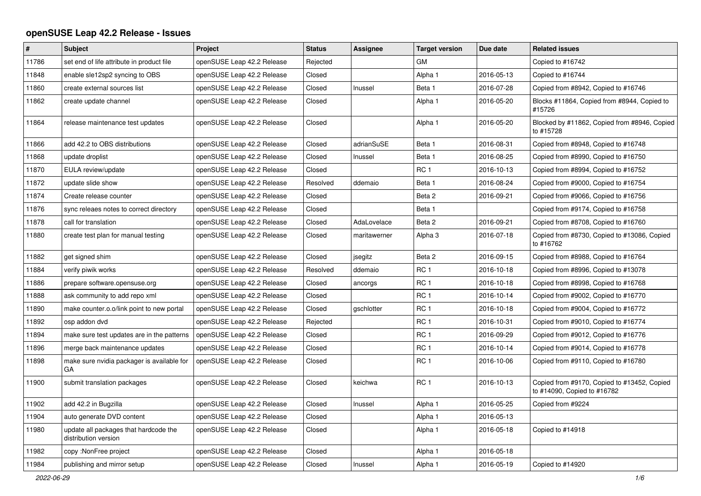## **openSUSE Leap 42.2 Release - Issues**

| #     | <b>Subject</b>                                                | <b>Project</b>             | <b>Status</b> | <b>Assignee</b> | <b>Target version</b> | Due date   | <b>Related issues</b>                                                      |
|-------|---------------------------------------------------------------|----------------------------|---------------|-----------------|-----------------------|------------|----------------------------------------------------------------------------|
| 11786 | set end of life attribute in product file                     | openSUSE Leap 42.2 Release | Rejected      |                 | <b>GM</b>             |            | Copied to #16742                                                           |
| 11848 | enable sle12sp2 syncing to OBS                                | openSUSE Leap 42.2 Release | Closed        |                 | Alpha 1               | 2016-05-13 | Copied to #16744                                                           |
| 11860 | create external sources list                                  | openSUSE Leap 42.2 Release | Closed        | Inussel         | Beta 1                | 2016-07-28 | Copied from #8942, Copied to #16746                                        |
| 11862 | create update channel                                         | openSUSE Leap 42.2 Release | Closed        |                 | Alpha 1               | 2016-05-20 | Blocks #11864, Copied from #8944, Copied to<br>#15726                      |
| 11864 | release maintenance test updates                              | openSUSE Leap 42.2 Release | Closed        |                 | Alpha 1               | 2016-05-20 | Blocked by #11862, Copied from #8946, Copied<br>to #15728                  |
| 11866 | add 42.2 to OBS distributions                                 | openSUSE Leap 42.2 Release | Closed        | adrianSuSE      | Beta 1                | 2016-08-31 | Copied from #8948, Copied to #16748                                        |
| 11868 | update droplist                                               | openSUSE Leap 42.2 Release | Closed        | Inussel         | Beta 1                | 2016-08-25 | Copied from #8990, Copied to #16750                                        |
| 11870 | EULA review/update                                            | openSUSE Leap 42.2 Release | Closed        |                 | RC <sub>1</sub>       | 2016-10-13 | Copied from #8994, Copied to #16752                                        |
| 11872 | update slide show                                             | openSUSE Leap 42.2 Release | Resolved      | ddemaio         | Beta 1                | 2016-08-24 | Copied from #9000, Copied to #16754                                        |
| 11874 | Create release counter                                        | openSUSE Leap 42.2 Release | Closed        |                 | Beta 2                | 2016-09-21 | Copied from #9066, Copied to #16756                                        |
| 11876 | sync releaes notes to correct directory                       | openSUSE Leap 42.2 Release | Closed        |                 | Beta 1                |            | Copied from #9174, Copied to #16758                                        |
| 11878 | call for translation                                          | openSUSE Leap 42.2 Release | Closed        | AdaLovelace     | Beta 2                | 2016-09-21 | Copied from #8708, Copied to #16760                                        |
| 11880 | create test plan for manual testing                           | openSUSE Leap 42.2 Release | Closed        | maritawerner    | Alpha 3               | 2016-07-18 | Copied from #8730, Copied to #13086, Copied<br>to #16762                   |
| 11882 | get signed shim                                               | openSUSE Leap 42.2 Release | Closed        | jsegitz         | Beta 2                | 2016-09-15 | Copied from #8988, Copied to #16764                                        |
| 11884 | verify piwik works                                            | openSUSE Leap 42.2 Release | Resolved      | ddemaio         | RC <sub>1</sub>       | 2016-10-18 | Copied from #8996, Copied to #13078                                        |
| 11886 | prepare software.opensuse.org                                 | openSUSE Leap 42.2 Release | Closed        | ancorgs         | RC <sub>1</sub>       | 2016-10-18 | Copied from #8998, Copied to #16768                                        |
| 11888 | ask community to add repo xml                                 | openSUSE Leap 42.2 Release | Closed        |                 | RC <sub>1</sub>       | 2016-10-14 | Copied from #9002, Copied to #16770                                        |
| 11890 | make counter.o.o/link point to new portal                     | openSUSE Leap 42.2 Release | Closed        | gschlotter      | RC <sub>1</sub>       | 2016-10-18 | Copied from #9004, Copied to #16772                                        |
| 11892 | osp addon dvd                                                 | openSUSE Leap 42.2 Release | Rejected      |                 | RC <sub>1</sub>       | 2016-10-31 | Copied from #9010, Copied to #16774                                        |
| 11894 | make sure test updates are in the patterns                    | openSUSE Leap 42.2 Release | Closed        |                 | RC <sub>1</sub>       | 2016-09-29 | Copied from #9012, Copied to #16776                                        |
| 11896 | merge back maintenance updates                                | openSUSE Leap 42.2 Release | Closed        |                 | RC <sub>1</sub>       | 2016-10-14 | Copied from #9014, Copied to #16778                                        |
| 11898 | make sure nvidia packager is available for<br>GA              | openSUSE Leap 42.2 Release | Closed        |                 | RC <sub>1</sub>       | 2016-10-06 | Copied from #9110, Copied to #16780                                        |
| 11900 | submit translation packages                                   | openSUSE Leap 42.2 Release | Closed        | keichwa         | RC <sub>1</sub>       | 2016-10-13 | Copied from #9170, Copied to #13452, Copied<br>to #14090, Copied to #16782 |
| 11902 | add 42.2 in Bugzilla                                          | openSUSE Leap 42.2 Release | Closed        | Inussel         | Alpha 1               | 2016-05-25 | Copied from #9224                                                          |
| 11904 | auto generate DVD content                                     | openSUSE Leap 42.2 Release | Closed        |                 | Alpha 1               | 2016-05-13 |                                                                            |
| 11980 | update all packages that hardcode the<br>distribution version | openSUSE Leap 42.2 Release | Closed        |                 | Alpha 1               | 2016-05-18 | Copied to #14918                                                           |
| 11982 | copy: NonFree project                                         | openSUSE Leap 42.2 Release | Closed        |                 | Alpha 1               | 2016-05-18 |                                                                            |
| 11984 | publishing and mirror setup                                   | openSUSE Leap 42.2 Release | Closed        | Inussel         | Alpha 1               | 2016-05-19 | Copied to #14920                                                           |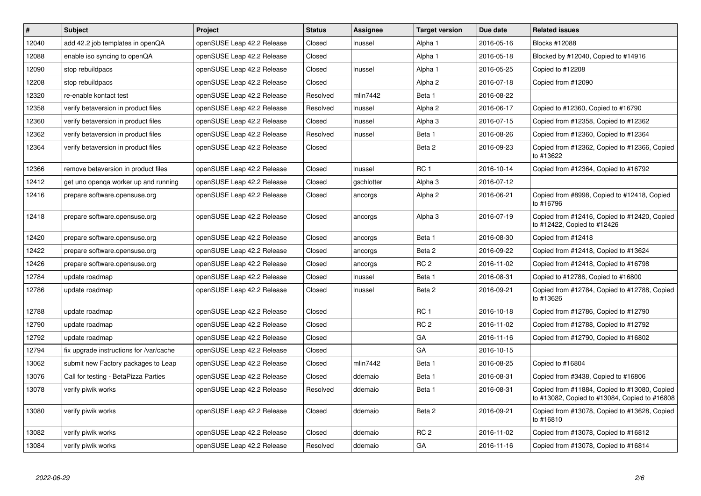| $\pmb{\#}$ | <b>Subject</b>                          | <b>Project</b>             | <b>Status</b> | <b>Assignee</b> | <b>Target version</b> | Due date   | <b>Related issues</b>                                                                         |
|------------|-----------------------------------------|----------------------------|---------------|-----------------|-----------------------|------------|-----------------------------------------------------------------------------------------------|
| 12040      | add 42.2 job templates in openQA        | openSUSE Leap 42.2 Release | Closed        | Inussel         | Alpha 1               | 2016-05-16 | <b>Blocks #12088</b>                                                                          |
| 12088      | enable iso syncing to openQA            | openSUSE Leap 42.2 Release | Closed        |                 | Alpha 1               | 2016-05-18 | Blocked by #12040, Copied to #14916                                                           |
| 12090      | stop rebuildpacs                        | openSUSE Leap 42.2 Release | Closed        | Inussel         | Alpha 1               | 2016-05-25 | Copied to #12208                                                                              |
| 12208      | stop rebuildpacs                        | openSUSE Leap 42.2 Release | Closed        |                 | Alpha <sub>2</sub>    | 2016-07-18 | Copied from #12090                                                                            |
| 12320      | re-enable kontact test                  | openSUSE Leap 42.2 Release | Resolved      | mlin7442        | Beta 1                | 2016-08-22 |                                                                                               |
| 12358      | verify betaversion in product files     | openSUSE Leap 42.2 Release | Resolved      | Inussel         | Alpha <sub>2</sub>    | 2016-06-17 | Copied to #12360, Copied to #16790                                                            |
| 12360      | verify betaversion in product files     | openSUSE Leap 42.2 Release | Closed        | Inussel         | Alpha 3               | 2016-07-15 | Copied from #12358, Copied to #12362                                                          |
| 12362      | verify betaversion in product files     | openSUSE Leap 42.2 Release | Resolved      | Inussel         | Beta 1                | 2016-08-26 | Copied from #12360, Copied to #12364                                                          |
| 12364      | verify betaversion in product files     | openSUSE Leap 42.2 Release | Closed        |                 | Beta 2                | 2016-09-23 | Copied from #12362, Copied to #12366, Copied<br>to #13622                                     |
| 12366      | remove betaversion in product files     | openSUSE Leap 42.2 Release | Closed        | Inussel         | RC <sub>1</sub>       | 2016-10-14 | Copied from #12364, Copied to #16792                                                          |
| 12412      | get uno openga worker up and running    | openSUSE Leap 42.2 Release | Closed        | gschlotter      | Alpha 3               | 2016-07-12 |                                                                                               |
| 12416      | prepare software.opensuse.org           | openSUSE Leap 42.2 Release | Closed        | ancorgs         | Alpha <sub>2</sub>    | 2016-06-21 | Copied from #8998, Copied to #12418, Copied<br>to #16796                                      |
| 12418      | prepare software.opensuse.org           | openSUSE Leap 42.2 Release | Closed        | ancorgs         | Alpha 3               | 2016-07-19 | Copied from #12416, Copied to #12420, Copied<br>to #12422, Copied to #12426                   |
| 12420      | prepare software.opensuse.org           | openSUSE Leap 42.2 Release | Closed        | ancorgs         | Beta 1                | 2016-08-30 | Copied from #12418                                                                            |
| 12422      | prepare software.opensuse.org           | openSUSE Leap 42.2 Release | Closed        | ancorgs         | Beta 2                | 2016-09-22 | Copied from #12418, Copied to #13624                                                          |
| 12426      | prepare software.opensuse.org           | openSUSE Leap 42.2 Release | Closed        | ancorgs         | RC <sub>2</sub>       | 2016-11-02 | Copied from #12418, Copied to #16798                                                          |
| 12784      | update roadmap                          | openSUSE Leap 42.2 Release | Closed        | Inussel         | Beta 1                | 2016-08-31 | Copied to #12786, Copied to #16800                                                            |
| 12786      | update roadmap                          | openSUSE Leap 42.2 Release | Closed        | Inussel         | Beta 2                | 2016-09-21 | Copied from #12784, Copied to #12788, Copied<br>to #13626                                     |
| 12788      | update roadmap                          | openSUSE Leap 42.2 Release | Closed        |                 | RC <sub>1</sub>       | 2016-10-18 | Copied from #12786, Copied to #12790                                                          |
| 12790      | update roadmap                          | openSUSE Leap 42.2 Release | Closed        |                 | RC <sub>2</sub>       | 2016-11-02 | Copied from #12788, Copied to #12792                                                          |
| 12792      | update roadmap                          | openSUSE Leap 42.2 Release | Closed        |                 | GA                    | 2016-11-16 | Copied from #12790, Copied to #16802                                                          |
| 12794      | fix upgrade instructions for /var/cache | openSUSE Leap 42.2 Release | Closed        |                 | GA                    | 2016-10-15 |                                                                                               |
| 13062      | submit new Factory packages to Leap     | openSUSE Leap 42.2 Release | Closed        | mlin7442        | Beta 1                | 2016-08-25 | Copied to #16804                                                                              |
| 13076      | Call for testing - BetaPizza Parties    | openSUSE Leap 42.2 Release | Closed        | ddemaio         | Beta 1                | 2016-08-31 | Copied from #3438, Copied to #16806                                                           |
| 13078      | verify piwik works                      | openSUSE Leap 42.2 Release | Resolved      | ddemaio         | Beta 1                | 2016-08-31 | Copied from #11884, Copied to #13080, Copied<br>to #13082, Copied to #13084, Copied to #16808 |
| 13080      | verify piwik works                      | openSUSE Leap 42.2 Release | Closed        | ddemaio         | Beta 2                | 2016-09-21 | Copied from #13078, Copied to #13628, Copied<br>to #16810                                     |
| 13082      | verify piwik works                      | openSUSE Leap 42.2 Release | Closed        | ddemaio         | RC <sub>2</sub>       | 2016-11-02 | Copied from #13078, Copied to #16812                                                          |
| 13084      | verify piwik works                      | openSUSE Leap 42.2 Release | Resolved      | ddemaio         | GA                    | 2016-11-16 | Copied from #13078, Copied to #16814                                                          |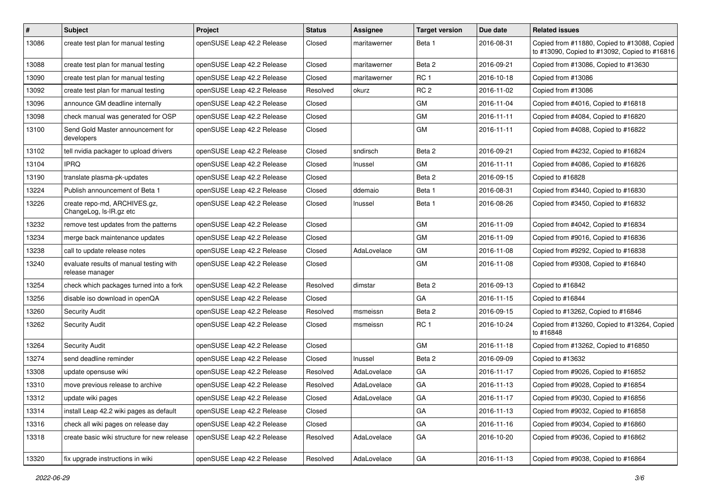| $\vert$ # | Subject                                                    | Project                    | <b>Status</b> | <b>Assignee</b> | <b>Target version</b> | Due date   | <b>Related issues</b>                                                                         |
|-----------|------------------------------------------------------------|----------------------------|---------------|-----------------|-----------------------|------------|-----------------------------------------------------------------------------------------------|
| 13086     | create test plan for manual testing                        | openSUSE Leap 42.2 Release | Closed        | maritawerner    | Beta 1                | 2016-08-31 | Copied from #11880, Copied to #13088, Copied<br>to #13090, Copied to #13092, Copied to #16816 |
| 13088     | create test plan for manual testing                        | openSUSE Leap 42.2 Release | Closed        | maritawerner    | Beta 2                | 2016-09-21 | Copied from #13086, Copied to #13630                                                          |
| 13090     | create test plan for manual testing                        | openSUSE Leap 42.2 Release | Closed        | maritawerner    | RC <sub>1</sub>       | 2016-10-18 | Copied from #13086                                                                            |
| 13092     | create test plan for manual testing                        | openSUSE Leap 42.2 Release | Resolved      | okurz           | RC <sub>2</sub>       | 2016-11-02 | Copied from #13086                                                                            |
| 13096     | announce GM deadline internally                            | openSUSE Leap 42.2 Release | Closed        |                 | <b>GM</b>             | 2016-11-04 | Copied from #4016, Copied to #16818                                                           |
| 13098     | check manual was generated for OSP                         | openSUSE Leap 42.2 Release | Closed        |                 | GM                    | 2016-11-11 | Copied from #4084, Copied to #16820                                                           |
| 13100     | Send Gold Master announcement for<br>developers            | openSUSE Leap 42.2 Release | Closed        |                 | GM                    | 2016-11-11 | Copied from #4088, Copied to #16822                                                           |
| 13102     | tell nvidia packager to upload drivers                     | openSUSE Leap 42.2 Release | Closed        | sndirsch        | Beta 2                | 2016-09-21 | Copied from #4232, Copied to #16824                                                           |
| 13104     | <b>IPRQ</b>                                                | openSUSE Leap 42.2 Release | Closed        | Inussel         | GM                    | 2016-11-11 | Copied from #4086, Copied to #16826                                                           |
| 13190     | translate plasma-pk-updates                                | openSUSE Leap 42.2 Release | Closed        |                 | Beta 2                | 2016-09-15 | Copied to #16828                                                                              |
| 13224     | Publish announcement of Beta 1                             | openSUSE Leap 42.2 Release | Closed        | ddemaio         | Beta 1                | 2016-08-31 | Copied from #3440, Copied to #16830                                                           |
| 13226     | create repo-md, ARCHIVES.gz,<br>ChangeLog, Is-IR.gz etc    | openSUSE Leap 42.2 Release | Closed        | Inussel         | Beta 1                | 2016-08-26 | Copied from #3450, Copied to #16832                                                           |
| 13232     | remove test updates from the patterns                      | openSUSE Leap 42.2 Release | Closed        |                 | <b>GM</b>             | 2016-11-09 | Copied from #4042, Copied to #16834                                                           |
| 13234     | merge back maintenance updates                             | openSUSE Leap 42.2 Release | Closed        |                 | GM                    | 2016-11-09 | Copied from #9016, Copied to #16836                                                           |
| 13238     | call to update release notes                               | openSUSE Leap 42.2 Release | Closed        | AdaLovelace     | GM                    | 2016-11-08 | Copied from #9292, Copied to #16838                                                           |
| 13240     | evaluate results of manual testing with<br>release manager | openSUSE Leap 42.2 Release | Closed        |                 | GM                    | 2016-11-08 | Copied from #9308, Copied to #16840                                                           |
| 13254     | check which packages turned into a fork                    | openSUSE Leap 42.2 Release | Resolved      | dimstar         | Beta 2                | 2016-09-13 | Copied to #16842                                                                              |
| 13256     | disable iso download in openQA                             | openSUSE Leap 42.2 Release | Closed        |                 | GA                    | 2016-11-15 | Copied to #16844                                                                              |
| 13260     | <b>Security Audit</b>                                      | openSUSE Leap 42.2 Release | Resolved      | msmeissn        | Beta 2                | 2016-09-15 | Copied to #13262, Copied to #16846                                                            |
| 13262     | <b>Security Audit</b>                                      | openSUSE Leap 42.2 Release | Closed        | msmeissn        | RC <sub>1</sub>       | 2016-10-24 | Copied from #13260, Copied to #13264, Copied<br>to #16848                                     |
| 13264     | <b>Security Audit</b>                                      | openSUSE Leap 42.2 Release | Closed        |                 | GM                    | 2016-11-18 | Copied from #13262, Copied to #16850                                                          |
| 13274     | send deadline reminder                                     | openSUSE Leap 42.2 Release | Closed        | Inussel         | Beta 2                | 2016-09-09 | Copied to #13632                                                                              |
| 13308     | update opensuse wiki                                       | openSUSE Leap 42.2 Release | Resolved      | AdaLovelace     | GA                    | 2016-11-17 | Copied from #9026, Copied to #16852                                                           |
| 13310     | move previous release to archive                           | openSUSE Leap 42.2 Release | Resolved      | AdaLovelace     | GA                    | 2016-11-13 | Copied from #9028, Copied to #16854                                                           |
| 13312     | update wiki pages                                          | openSUSE Leap 42.2 Release | Closed        | AdaLovelace     | GA                    | 2016-11-17 | Copied from #9030, Copied to #16856                                                           |
| 13314     | install Leap 42.2 wiki pages as default                    | openSUSE Leap 42.2 Release | Closed        |                 | GA                    | 2016-11-13 | Copied from #9032, Copied to #16858                                                           |
| 13316     | check all wiki pages on release day                        | openSUSE Leap 42.2 Release | Closed        |                 | GA                    | 2016-11-16 | Copied from #9034, Copied to #16860                                                           |
| 13318     | create basic wiki structure for new release                | openSUSE Leap 42.2 Release | Resolved      | AdaLovelace     | GA                    | 2016-10-20 | Copied from #9036, Copied to #16862                                                           |
| 13320     | fix upgrade instructions in wiki                           | openSUSE Leap 42.2 Release | Resolved      | AdaLovelace     | GA                    | 2016-11-13 | Copied from #9038, Copied to #16864                                                           |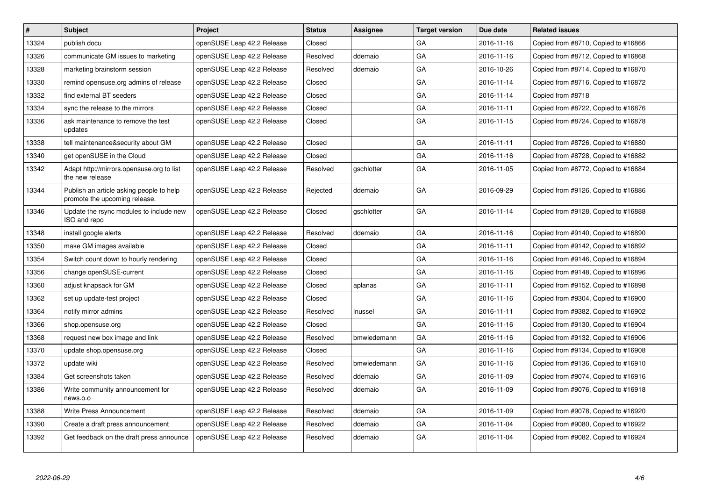| $\vert$ # | <b>Subject</b>                                                            | <b>Project</b>             | <b>Status</b> | Assignee    | <b>Target version</b> | Due date   | <b>Related issues</b>               |
|-----------|---------------------------------------------------------------------------|----------------------------|---------------|-------------|-----------------------|------------|-------------------------------------|
| 13324     | publish docu                                                              | openSUSE Leap 42.2 Release | Closed        |             | GA                    | 2016-11-16 | Copied from #8710, Copied to #16866 |
| 13326     | communicate GM issues to marketing                                        | openSUSE Leap 42.2 Release | Resolved      | ddemaio     | GA                    | 2016-11-16 | Copied from #8712, Copied to #16868 |
| 13328     | marketing brainstorm session                                              | openSUSE Leap 42.2 Release | Resolved      | ddemaio     | GA                    | 2016-10-26 | Copied from #8714, Copied to #16870 |
| 13330     | remind opensuse.org admins of release                                     | openSUSE Leap 42.2 Release | Closed        |             | GA                    | 2016-11-14 | Copied from #8716, Copied to #16872 |
| 13332     | find external BT seeders                                                  | openSUSE Leap 42.2 Release | Closed        |             | GA                    | 2016-11-14 | Copied from #8718                   |
| 13334     | sync the release to the mirrors                                           | openSUSE Leap 42.2 Release | Closed        |             | GA                    | 2016-11-11 | Copied from #8722, Copied to #16876 |
| 13336     | ask maintenance to remove the test<br>updates                             | openSUSE Leap 42.2 Release | Closed        |             | GA                    | 2016-11-15 | Copied from #8724, Copied to #16878 |
| 13338     | tell maintenance&security about GM                                        | openSUSE Leap 42.2 Release | Closed        |             | GA                    | 2016-11-11 | Copied from #8726, Copied to #16880 |
| 13340     | get openSUSE in the Cloud                                                 | openSUSE Leap 42.2 Release | Closed        |             | GA                    | 2016-11-16 | Copied from #8728, Copied to #16882 |
| 13342     | Adapt http://mirrors.opensuse.org to list<br>the new release              | openSUSE Leap 42.2 Release | Resolved      | gschlotter  | GA                    | 2016-11-05 | Copied from #8772, Copied to #16884 |
| 13344     | Publish an article asking people to help<br>promote the upcoming release. | openSUSE Leap 42.2 Release | Rejected      | ddemaio     | GA                    | 2016-09-29 | Copied from #9126, Copied to #16886 |
| 13346     | Update the rsync modules to include new<br>ISO and repo                   | openSUSE Leap 42.2 Release | Closed        | gschlotter  | GA                    | 2016-11-14 | Copied from #9128, Copied to #16888 |
| 13348     | install google alerts                                                     | openSUSE Leap 42.2 Release | Resolved      | ddemaio     | GA                    | 2016-11-16 | Copied from #9140, Copied to #16890 |
| 13350     | make GM images available                                                  | openSUSE Leap 42.2 Release | Closed        |             | GA                    | 2016-11-11 | Copied from #9142, Copied to #16892 |
| 13354     | Switch count down to hourly rendering                                     | openSUSE Leap 42.2 Release | Closed        |             | GA                    | 2016-11-16 | Copied from #9146, Copied to #16894 |
| 13356     | change openSUSE-current                                                   | openSUSE Leap 42.2 Release | Closed        |             | GA                    | 2016-11-16 | Copied from #9148, Copied to #16896 |
| 13360     | adjust knapsack for GM                                                    | openSUSE Leap 42.2 Release | Closed        | aplanas     | GA                    | 2016-11-11 | Copied from #9152, Copied to #16898 |
| 13362     | set up update-test project                                                | openSUSE Leap 42.2 Release | Closed        |             | GA                    | 2016-11-16 | Copied from #9304, Copied to #16900 |
| 13364     | notify mirror admins                                                      | openSUSE Leap 42.2 Release | Resolved      | Inussel     | GA                    | 2016-11-11 | Copied from #9382, Copied to #16902 |
| 13366     | shop.opensuse.org                                                         | openSUSE Leap 42.2 Release | Closed        |             | GA                    | 2016-11-16 | Copied from #9130, Copied to #16904 |
| 13368     | request new box image and link                                            | openSUSE Leap 42.2 Release | Resolved      | bmwiedemann | GA                    | 2016-11-16 | Copied from #9132, Copied to #16906 |
| 13370     | update shop.opensuse.org                                                  | openSUSE Leap 42.2 Release | Closed        |             | GA                    | 2016-11-16 | Copied from #9134, Copied to #16908 |
| 13372     | update wiki                                                               | openSUSE Leap 42.2 Release | Resolved      | bmwiedemann | GA                    | 2016-11-16 | Copied from #9136, Copied to #16910 |
| 13384     | Get screenshots taken                                                     | openSUSE Leap 42.2 Release | Resolved      | ddemaio     | GA                    | 2016-11-09 | Copied from #9074, Copied to #16916 |
| 13386     | Write community announcement for<br>news.o.o                              | openSUSE Leap 42.2 Release | Resolved      | ddemaio     | GA                    | 2016-11-09 | Copied from #9076, Copied to #16918 |
| 13388     | <b>Write Press Announcement</b>                                           | openSUSE Leap 42.2 Release | Resolved      | ddemaio     | GA                    | 2016-11-09 | Copied from #9078, Copied to #16920 |
| 13390     | Create a draft press announcement                                         | openSUSE Leap 42.2 Release | Resolved      | ddemaio     | GA                    | 2016-11-04 | Copied from #9080, Copied to #16922 |
| 13392     | Get feedback on the draft press announce                                  | openSUSE Leap 42.2 Release | Resolved      | ddemaio     | GA                    | 2016-11-04 | Copied from #9082, Copied to #16924 |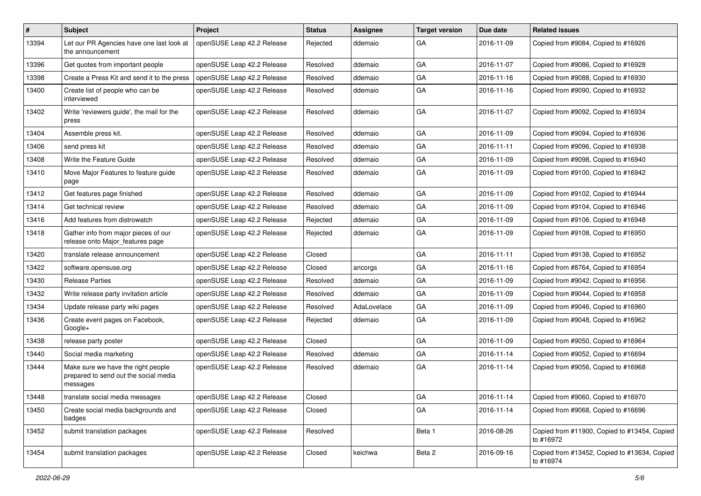| #     | Subject                                                                                 | <b>Project</b>             | <b>Status</b> | Assignee    | <b>Target version</b> | Due date   | <b>Related issues</b>                                     |
|-------|-----------------------------------------------------------------------------------------|----------------------------|---------------|-------------|-----------------------|------------|-----------------------------------------------------------|
| 13394 | Let our PR Agencies have one last look at<br>the announcement                           | openSUSE Leap 42.2 Release | Rejected      | ddemaio     | GA                    | 2016-11-09 | Copied from #9084, Copied to #16926                       |
| 13396 | Get quotes from important people                                                        | openSUSE Leap 42.2 Release | Resolved      | ddemaio     | GA                    | 2016-11-07 | Copied from #9086, Copied to #16928                       |
| 13398 | Create a Press Kit and send it to the press                                             | openSUSE Leap 42.2 Release | Resolved      | ddemaio     | GA                    | 2016-11-16 | Copied from #9088, Copied to #16930                       |
| 13400 | Create list of people who can be<br>interviewed                                         | openSUSE Leap 42.2 Release | Resolved      | ddemaio     | GA                    | 2016-11-16 | Copied from #9090, Copied to #16932                       |
| 13402 | Write 'reviewers guide', the mail for the<br>press                                      | openSUSE Leap 42.2 Release | Resolved      | ddemaio     | GA                    | 2016-11-07 | Copied from #9092, Copied to #16934                       |
| 13404 | Assemble press kit.                                                                     | openSUSE Leap 42.2 Release | Resolved      | ddemaio     | GA                    | 2016-11-09 | Copied from #9094, Copied to #16936                       |
| 13406 | send press kit                                                                          | openSUSE Leap 42.2 Release | Resolved      | ddemaio     | GA                    | 2016-11-11 | Copied from #9096, Copied to #16938                       |
| 13408 | Write the Feature Guide                                                                 | openSUSE Leap 42.2 Release | Resolved      | ddemaio     | GA                    | 2016-11-09 | Copied from #9098, Copied to #16940                       |
| 13410 | Move Major Features to feature guide<br>page                                            | openSUSE Leap 42.2 Release | Resolved      | ddemaio     | GA                    | 2016-11-09 | Copied from #9100, Copied to #16942                       |
| 13412 | Get features page finished                                                              | openSUSE Leap 42.2 Release | Resolved      | ddemaio     | GA                    | 2016-11-09 | Copied from #9102, Copied to #16944                       |
| 13414 | Get technical review                                                                    | openSUSE Leap 42.2 Release | Resolved      | ddemaio     | GA                    | 2016-11-09 | Copied from #9104, Copied to #16946                       |
| 13416 | Add features from distrowatch                                                           | openSUSE Leap 42.2 Release | Rejected      | ddemaio     | GA                    | 2016-11-09 | Copied from #9106, Copied to #16948                       |
| 13418 | Gather info from major pieces of our<br>release onto Major_features page                | openSUSE Leap 42.2 Release | Rejected      | ddemaio     | GA                    | 2016-11-09 | Copied from #9108, Copied to #16950                       |
| 13420 | translate release announcement                                                          | openSUSE Leap 42.2 Release | Closed        |             | GA                    | 2016-11-11 | Copied from #9138, Copied to #16952                       |
| 13422 | software.opensuse.org                                                                   | openSUSE Leap 42.2 Release | Closed        | ancorgs     | GA                    | 2016-11-16 | Copied from #8764, Copied to #16954                       |
| 13430 | <b>Release Parties</b>                                                                  | openSUSE Leap 42.2 Release | Resolved      | ddemaio     | GA                    | 2016-11-09 | Copied from #9042, Copied to #16956                       |
| 13432 | Write release party invitation article                                                  | openSUSE Leap 42.2 Release | Resolved      | ddemaio     | GA                    | 2016-11-09 | Copied from #9044, Copied to #16958                       |
| 13434 | Update release party wiki pages                                                         | openSUSE Leap 42.2 Release | Resolved      | AdaLovelace | GA                    | 2016-11-09 | Copied from #9046, Copied to #16960                       |
| 13436 | Create event pages on Facebook,<br>Google+                                              | openSUSE Leap 42.2 Release | Rejected      | ddemaio     | GA                    | 2016-11-09 | Copied from #9048, Copied to #16962                       |
| 13438 | release party poster                                                                    | openSUSE Leap 42.2 Release | Closed        |             | GA                    | 2016-11-09 | Copied from #9050, Copied to #16964                       |
| 13440 | Social media marketing                                                                  | openSUSE Leap 42.2 Release | Resolved      | ddemaio     | GA                    | 2016-11-14 | Copied from #9052, Copied to #16694                       |
| 13444 | Make sure we have the right people<br>prepared to send out the social media<br>messages | openSUSE Leap 42.2 Release | Resolved      | ddemaio     | GA                    | 2016-11-14 | Copied from #9056, Copied to #16968                       |
| 13448 | translate social media messages                                                         | openSUSE Leap 42.2 Release | Closed        |             | GA                    | 2016-11-14 | Copied from #9060, Copied to #16970                       |
| 13450 | Create social media backgrounds and<br>badges                                           | openSUSE Leap 42.2 Release | Closed        |             | GA                    | 2016-11-14 | Copied from #9068, Copied to #16696                       |
| 13452 | submit translation packages                                                             | openSUSE Leap 42.2 Release | Resolved      |             | Beta 1                | 2016-08-26 | Copied from #11900, Copied to #13454, Copied<br>to #16972 |
| 13454 | submit translation packages                                                             | openSUSE Leap 42.2 Release | Closed        | keichwa     | Beta 2                | 2016-09-16 | Copied from #13452, Copied to #13634, Copied<br>to #16974 |